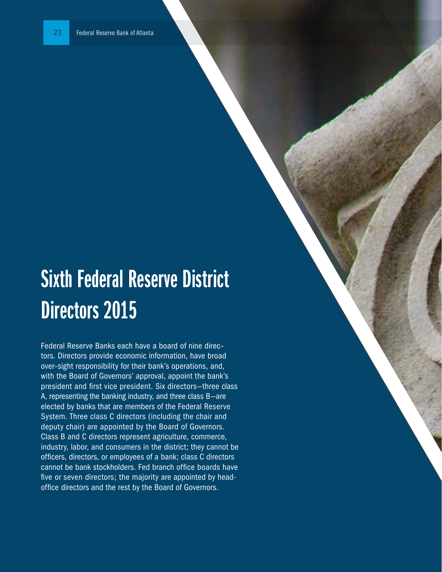# Sixth Federal Reserve District Directors 2015

Federal Reserve Banks each have a board of nine direc– tors. Directors provide economic information, have broad over–sight responsibility for their bank's operations, and, with the Board of Governors' approval, appoint the bank's president and first vice president. Six directors—three class A, representing the banking industry, and three class B—are elected by banks that are members of the Federal Reserve System. Three class C directors (including the chair and deputy chair) are appointed by the Board of Governors. Class B and C directors represent agriculture, commerce, industry, labor, and consumers in the district; they cannot be officers, directors, or employees of a bank; class C directors cannot be bank stockholders. Fed branch office boards have five or seven directors; the majority are appointed by headoffice directors and the rest by the Board of Governors.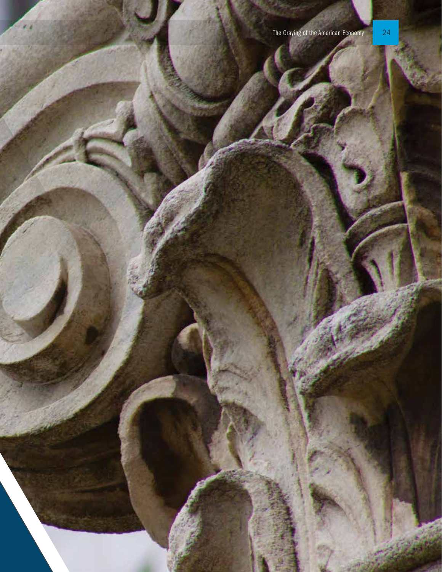13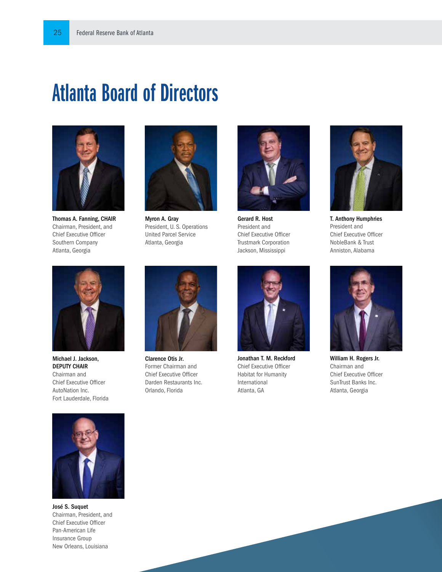## Atlanta Board of Directors



Thomas A. Fanning, CHAIR Chairman, President, and Chief Executive Officer Southern Company Atlanta, Georgia



Myron A. Gray President, U. S. Operations United Parcel Service Atlanta, Georgia



Gerard R. Host President and Chief Executive Officer Trustmark Corporation Jackson, Mississippi



T. Anthony Humphries President and Chief Executive Officer NobleBank & Trust Anniston, Alabama



Michael J. Jackson, DEPUTY CHAIR Chairman and Chief Executive Officer AutoNation Inc. Fort Lauderdale, Florida



Clarence Otis Jr. Former Chairman and Chief Executive Officer Darden Restaurants Inc. Orlando, Florida



Jonathan T. M. Reckford Chief Executive Officer Habitat for Humanity International Atlanta, GA



William H. Rogers Jr. Chairman and Chief Executive Officer SunTrust Banks Inc. Atlanta, Georgia



José S. Suquet Chairman, President, and Chief Executive Officer Pan-American Life Insurance Group New Orleans, Louisiana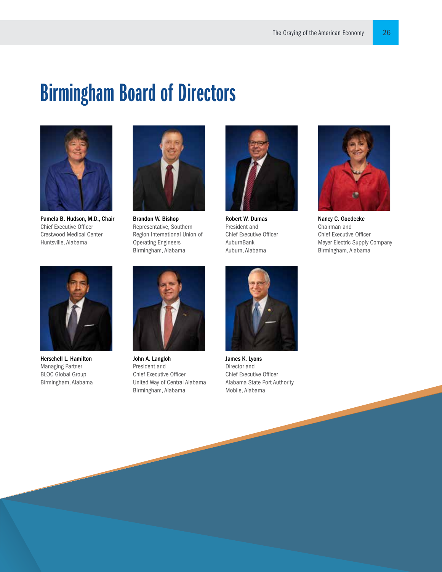## Birmingham Board of Directors



Pamela B. Hudson, M.D., Chair Chief Executive Officer Crestwood Medical Center Huntsville, Alabama



Brandon W. Bishop Representative, Southern Region International Union of Operating Engineers Birmingham, Alabama



Robert W. Dumas President and Chief Executive Officer AuburnBank Auburn, Alabama



Nancy C. Goedecke Chairman and Chief Executive Officer Mayer Electric Supply Company Birmingham, Alabama



Herschell L. Hamilton Managing Partner BLOC Global Group Birmingham, Alabama



John A. Langloh President and Chief Executive Officer United Way of Central Alabama Birmingham, Alabama



James K. Lyons Director and Chief Executive Officer Alabama State Port Authority Mobile, Alabama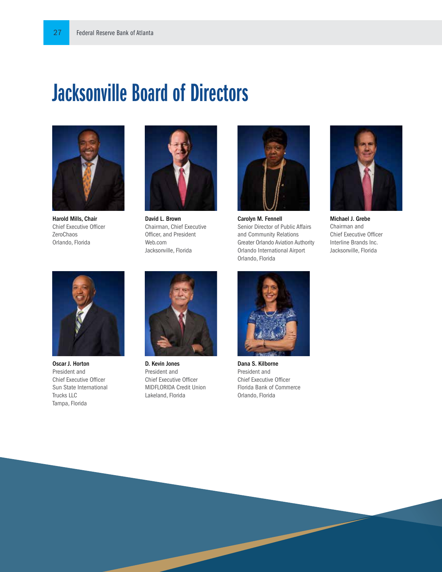## Jacksonville Board of Directors



Harold Mills, Chair Chief Executive Officer ZeroChaos Orlando, Florida



David L. Brown Chairman, Chief Executive Officer, and President Web.com Jacksonville, Florida



Carolyn M. Fennell Senior Director of Public Affairs and Community Relations Greater Orlando Aviation Authority Orlando International Airport Orlando, Florida



Michael J. Grebe Chairman and Chief Executive Officer Interline Brands Inc. Jacksonville, Florida



Oscar J. Horton President and Chief Executive Officer Sun State International Trucks LLC Tampa, Florida



D. Kevin Jones President and Chief Executive Officer MIDFLORIDA Credit Union Lakeland, Florida



Dana S. Kilborne President and Chief Executive Officer Florida Bank of Commerce Orlando, Florida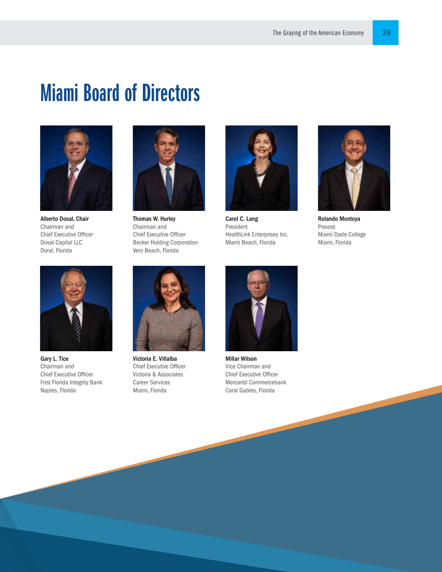## Miami Board of Directors



Alberto Dosal, Chair Chairman and Chief Executive Officer Dosal Capital LLC Doral, Florida



Thomas W. Hurley Chairman and Chief Executive Officer Becker Holding Corporation Vero Beach, Florida



Carol C. Lang President HealthLink Enterprises Inc. Miami Beach, Florida



Rolando Montoya Provost Miami Dade College Miami, Florida



Gary L. Tice Chairman and Chief Executive Officer First Florida Integrity Bank Naples, Florida



Victoria E. Villalba Chief Executive Officer Victoria & Associates Career Services Miami, Florida



Millar Wilson Vice Chairman and Chief Executive Officer Mercantil Commercebank Coral Gables, Florida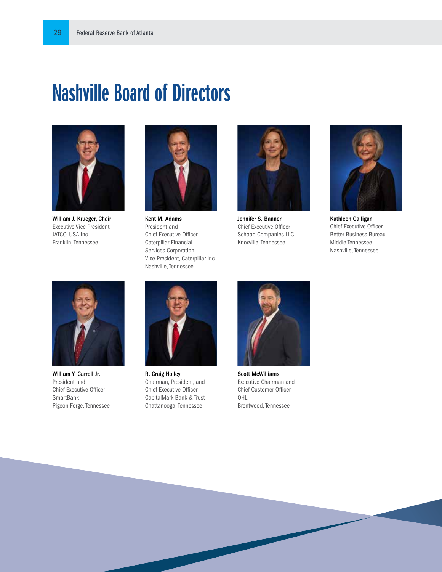## Nashville Board of Directors



William J. Krueger, Chair Executive Vice President JATCO, USA Inc. Franklin, Tennessee



Kent M. Adams President and Chief Executive Officer Caterpillar Financial Services Corporation Vice President, Caterpillar Inc. Nashville, Tennessee



Jennifer S. Banner Chief Executive Officer Schaad Companies LLC Knoxville, Tennessee



Kathleen Calligan Chief Executive Officer Better Business Bureau Middle Tennessee Nashville, Tennessee



William Y. Carroll Jr. President and Chief Executive Officer SmartBank Pigeon Forge, Tennessee



R. Craig Holley Chairman, President, and Chief Executive Officer CapitalMark Bank & Trust Chattanooga, Tennessee



Scott McWilliams Executive Chairman and Chief Customer Officer OHL Brentwood, Tennessee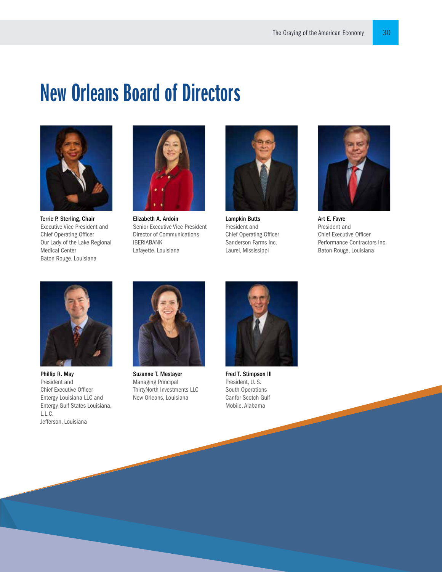## New Orleans Board of Directors



Terrie P. Sterling, Chair Executive Vice President and Chief Operating Officer Our Lady of the Lake Regional Medical Center Baton Rouge, Louisiana



Elizabeth A. Ardoin Senior Executive Vice President Director of Communications IBERIABANK Lafayette, Louisiana



Lampkin Butts President and Chief Operating Officer Sanderson Farms Inc. Laurel, Mississippi



Art E. Favre President and Chief Executive Officer Performance Contractors Inc. Baton Rouge, Louisiana



Phillip R. May President and Chief Executive Officer Entergy Louisiana LLC and Entergy Gulf States Louisiana, L.L.C. Jefferson, Louisiana



Suzanne T. Mestayer Managing Principal ThirtyNorth Investments LLC New Orleans, Louisiana



Fred T. Stimpson III President, U. S. South Operations Canfor Scotch Gulf Mobile, Alabama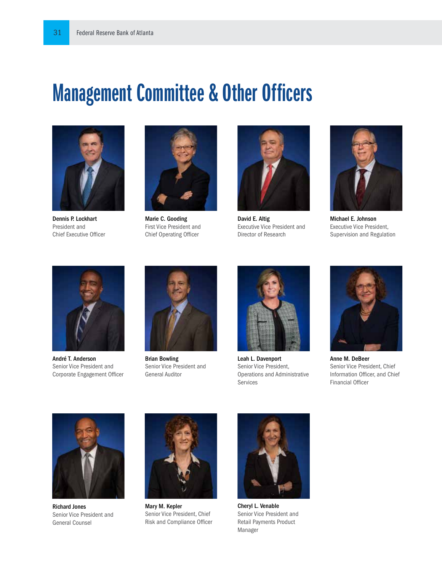## Management Committee & Other Officers



Dennis P. Lockhart President and Chief Executive Officer



Marie C. Gooding First Vice President and Chief Operating Officer



David E. Altig Executive Vice President and Director of Research



Michael E. Johnson Executive Vice President, Supervision and Regulation



André T. Anderson Senior Vice President and Corporate Engagement Officer



Brian Bowling Senior Vice President and General Auditor



Leah L. Davenport Senior Vice President, Operations and Administrative Services



Anne M. DeBeer Senior Vice President, Chief Information Officer, and Chief Financial Officer



Richard Jones Senior Vice President and General Counsel



Mary M. Kepler Senior Vice President, Chief Risk and Compliance Officer



Cheryl L. Venable Senior Vice President and Retail Payments Product Manager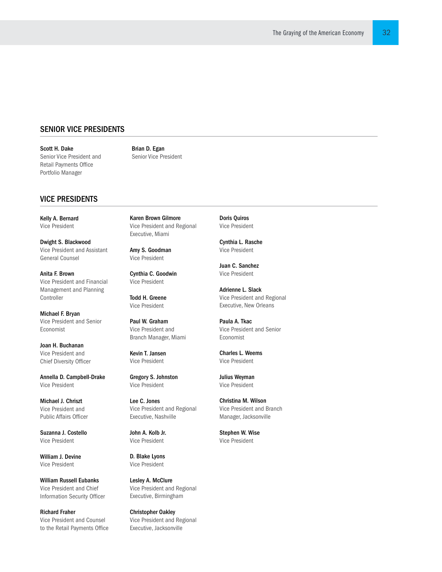## SENIOR VICE PRESIDENTS

Scott H. Dake Senior Vice President and Retail Payments Office Portfolio Manager

Brian D. Egan Senior Vice President

## VICE PRESIDENTS

Kelly A. Bernard Vice President

Dwight S. Blackwood Vice President and Assistant General Counsel

Anita F. Brown Vice President and Financial Management and Planning Controller

Michael F. Bryan Vice President and Senior Economist

Joan H. Buchanan Vice President and Chief Diversity Officer

Annella D. Campbell-Drake Vice President

Michael J. Chriszt Vice President and Public Affairs Officer

Suzanna J. Costello Vice President

William J. Devine Vice President

William Russell Eubanks Vice President and Chief Information Security Officer

Richard Fraher Vice President and Counsel to the Retail Payments Office Karen Brown Gilmore Vice President and Regional Executive, Miami

Amy S. Goodman Vice President

Cynthia C. Goodwin Vice President

Todd H. Greene Vice President

Paul W. Graham Vice President and Branch Manager, Miami

Kevin T. Jansen Vice President

Gregory S. Johnston Vice President

Lee C. Jones Vice President and Regional Executive, Nashville

John A. Kolb Jr. Vice President

D. Blake Lyons Vice President

Lesley A. McClure Vice President and Regional Executive, Birmingham

Christopher Oakley Vice President and Regional Executive, Jacksonville

Doris Quiros Vice President

Cynthia L. Rasche Vice President

Juan C. Sanchez Vice President

Adrienne L. Slack Vice President and Regional Executive, New Orleans

Paula A. Tkac Vice President and Senior Economist

Charles L. Weems Vice President

Julius Weyman Vice President

Christina M. Wilson Vice President and Branch Manager, Jacksonville

Stephen W. Wise Vice President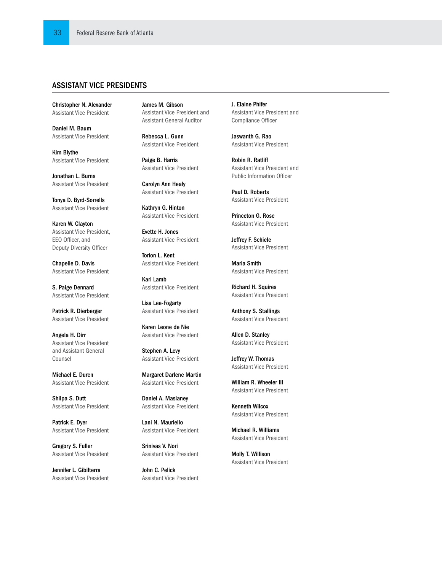## ASSISTANT VICE PRESIDENTS

Christopher N. Alexander Assistant Vice President

Daniel M. Baum Assistant Vice President

Kim Blythe Assistant Vice President

Jonathan L. Burns Assistant Vice President

Tonya D. Byrd-Sorrells Assistant Vice President

Karen W. Clayton Assistant Vice President, EEO Officer, and Deputy Diversity Officer

Chapelle D. Davis Assistant Vice President

S. Paige Dennard Assistant Vice President

Patrick R. Dierberger Assistant Vice President

Angela H. Dirr Assistant Vice President and Assistant General Counsel

Michael E. Duren Assistant Vice President

Shilpa S. Dutt Assistant Vice President

Patrick E. Dyer Assistant Vice President

Gregory S. Fuller Assistant Vice President

Jennifer L. Gibilterra Assistant Vice President James M. Gibson Assistant Vice President and Assistant General Auditor

Rebecca L. Gunn Assistant Vice President

Paige B. Harris Assistant Vice President

Carolyn Ann Healy Assistant Vice President

Kathryn G. Hinton Assistant Vice President

Evette H. Jones Assistant Vice President

Torion L. Kent Assistant Vice President

Karl Lamb Assistant Vice President

Lisa Lee-Fogarty Assistant Vice President

Karen Leone de Nie Assistant Vice President

Stephen A. Levy Assistant Vice President

Margaret Darlene Martin Assistant Vice President

Daniel A. Maslaney Assistant Vice President

Lani N. Mauriello Assistant Vice President

Srinivas V. Nori Assistant Vice President

John C. Pelick Assistant Vice President J. Elaine Phifer Assistant Vice President and Compliance Officer

Jaswanth G. Rao Assistant Vice President

Robin R. Ratliff Assistant Vice President and Public Information Officer

Paul D. Roberts Assistant Vice President

Princeton G. Rose Assistant Vice President

Jeffrey F. Schiele Assistant Vice President

Maria Smith Assistant Vice President

Richard H. Squires Assistant Vice President

Anthony S. Stallings Assistant Vice President

Allen D. Stanley Assistant Vice President

Jeffrey W. Thomas Assistant Vice President

William R. Wheeler III Assistant Vice President

Kenneth Wilcox Assistant Vice President

Michael R. Williams Assistant Vice President

Molly T. Willison Assistant Vice President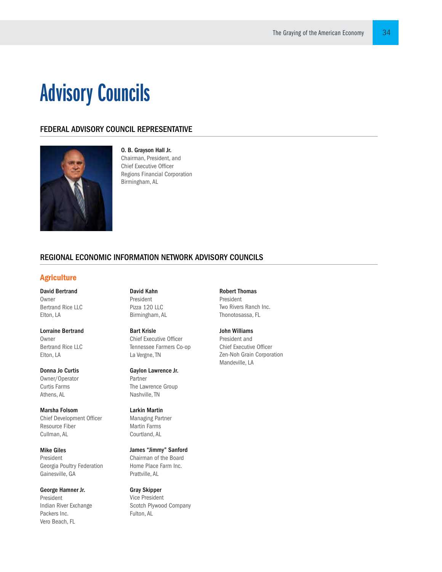## Advisory Councils

## FEDERAL ADVISORY COUNCIL REPRESENTATIVE



O. B. Grayson Hall Jr. Chairman, President, and Chief Executive Officer Regions Financial Corporation Birmingham, AL

## REGIONAL ECONOMIC INFORMATION NETWORK ADVISORY COUNCILS

## **Agriculture**

David Bertrand Owner Bertrand Rice LLC Elton, LA

#### Lorraine Bertrand

Owner Bertrand Rice LLC Elton, LA

Donna Jo Curtis Owner/Operator Curtis Farms Athens, AL

Marsha Folsom Chief Development Officer Resource Fiber Cullman, AL

Mike Giles President Georgia Poultry Federation Gainesville, GA

George Hamner Jr. President Indian River Exchange Packers Inc. Vero Beach, FL

David Kahn President Pizza 120 LLC Birmingham, AL

Bart Krisle Chief Executive Officer Tennessee Farmers Co-op La Vergne, TN

Gaylon Lawrence Jr. Partner The Lawrence Group Nashville, TN

Larkin Martin Managing Partner Martin Farms Courtland, AL

James "Jimmy" Sanford Chairman of the Board Home Place Farm Inc.

Prattville, AL Gray Skipper

Vice President Scotch Plywood Company Fulton, AL

Robert Thomas President Two Rivers Ranch Inc. Thonotosassa, FL

John Williams President and Chief Executive Officer Zen-Noh Grain Corporation Mandeville, LA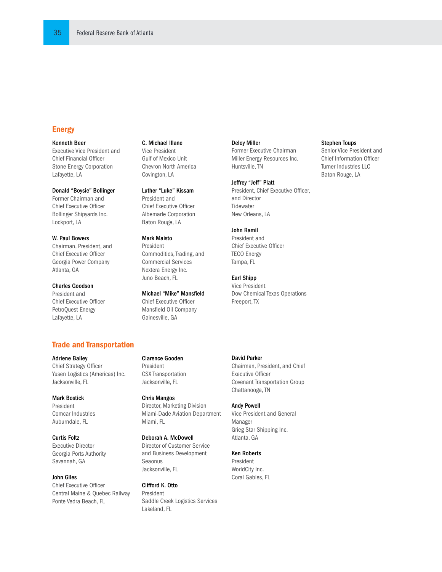### Energy

Kenneth Beer Executive Vice President and Chief Financial Officer Stone Energy Corporation Lafayette, LA

### Donald "Boysie" Bollinger

Former Chairman and Chief Executive Officer Bollinger Shipyards Inc. Lockport, LA

W. Paul Bowers Chairman, President, and Chief Executive Officer Georgia Power Company Atlanta, GA

Charles Goodson President and Chief Executive Officer PetroQuest Energy Lafayette, LA

## Trade and Transportation

Adriene Bailey Chief Strategy Officer

Yusen Logistics (Americas) Inc. Jacksonville, FL

Mark Bostick President Comcar Industries Auburndale, FL

Curtis Foltz Executive Director Georgia Ports Authority Savannah, GA

John Giles Chief Executive Officer Central Maine & Quebec Railway Ponte Vedra Beach, FL

#### C. Michael Illane Vice President

Gulf of Mexico Unit Chevron North America Covington, LA

#### Luther "Luke" Kissam President and

Chief Executive Officer Albemarle Corporation Baton Rouge, LA

## Mark Maisto

President Commodities, Trading, and Commercial Services Nextera Energy Inc. Juno Beach, FL

#### Michael "Mike" Mansfield

Chief Executive Officer Mansfield Oil Company Gainesville, GA

Clarence Gooden President CSX Transportation Jacksonville, FL

Chris Mangos

Miami, FL

Seaonus Jacksonville, FL

Clifford K. Otto President

Lakeland, FL

Saddle Creek Logistics Services

Director, Marketing Division Miami-Dade Aviation Department

Deborah A. McDowell Director of Customer Service and Business Development

#### Deloy Miller

Former Executive Chairman Miller Energy Resources Inc. Huntsville, TN

#### Jeffrey "Jeff" Platt

President, Chief Executive Officer, and Director **Tidewater** New Orleans, LA

#### John Ramil

President and Chief Executive Officer TECO Energy Tampa, FL

#### Earl Shipp

Vice President Dow Chemical Texas Operations Freeport, TX

### David Parker

Chairman, President, and Chief Executive Officer Covenant Transportation Group Chattanooga, TN

#### Andy Powell

Vice President and General Manager Grieg Star Shipping Inc. Atlanta, GA

### Ken Roberts

President WorldCity Inc. Coral Gables, FL

#### Stephen Toups

Senior Vice President and Chief Information Officer Turner Industries LLC Baton Rouge, LA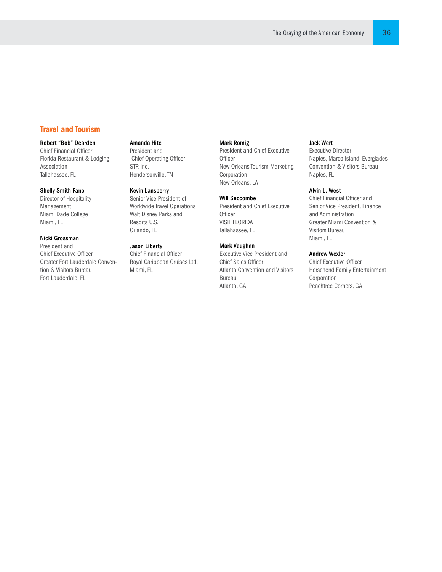## Travel and Tourism

### Robert "Bob" Dearden

Chief Financial Officer Florida Restaurant & Lodging Association Tallahassee, FL

#### Shelly Smith Fano

Director of Hospitality Management Miami Dade College Miami, FL

## Nicki Grossman

President and Chief Executive Officer Greater Fort Lauderdale Convention & Visitors Bureau Fort Lauderdale, FL

## Amanda Hite

President and Chief Operating Officer STR Inc. Hendersonville, TN

## Kevin Lansberry

Senior Vice President of Worldwide Travel Operations Walt Disney Parks and Resorts U.S. Orlando, FL

### Jason Liberty

Chief Financial Officer Royal Caribbean Cruises Ltd. Miami, FL

#### Mark Romig

President and Chief Executive **Officer** New Orleans Tourism Marketing Corporation New Orleans, LA

### Will Seccombe

President and Chief Executive **Officer** VISIT FLORIDA Tallahassee, FL

#### Mark Vaughan

Executive Vice President and Chief Sales Officer Atlanta Convention and Visitors Bureau Atlanta, GA

#### Jack Wert

Executive Director Naples, Marco Island, Everglades Convention & Visitors Bureau Naples, FL

#### Alvin L. West

Chief Financial Officer and Senior Vice President, Finance and Administration Greater Miami Convention & Visitors Bureau Miami, FL

#### Andrew Wexler

Chief Executive Officer Herschend Family Entertainment Corporation Peachtree Corners, GA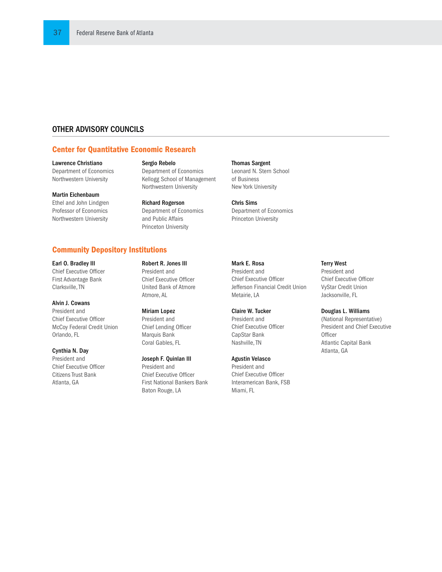## OTHER ADVISORY COUNCILS

## Center for Quantitative Economic Research

Lawrence Christiano Department of Economics Northwestern University

### Martin Eichenbaum

Ethel and John Lindgren Professor of Economics Northwestern University

Sergio Rebelo Department of Economics Kellogg School of Management Northwestern University

Richard Rogerson Department of Economics and Public Affairs Princeton University

## Community Depository Institutions

Earl O. Bradley III Chief Executive Officer First Advantage Bank Clarksville, TN

Alvin J. Cowans President and Chief Executive Officer McCoy Federal Credit Union Orlando, FL

Cynthia N. Day President and Chief Executive Officer Citizens Trust Bank Atlanta, GA

Robert R. Jones III President and Chief Executive Officer United Bank of Atmore Atmore, AL

Miriam Lopez President and Chief Lending Officer Marquis Bank Coral Gables, FL

Joseph F. Quinlan III President and Chief Executive Officer First National Bankers Bank Baton Rouge, LA

Thomas Sargent Leonard N. Stern School

of Business New York University

Chris Sims Department of Economics Princeton University

Mark E. Rosa President and Chief Executive Officer Jefferson Financial Credit Union Metairie, LA

Claire W. Tucker President and Chief Executive Officer CapStar Bank Nashville, TN

Agustin Velasco President and Chief Executive Officer Interamerican Bank, FSB Miami, FL

### Terry West

President and Chief Executive Officer VyStar Credit Union Jacksonville, FL

Douglas L. Williams (National Representative)

President and Chief Executive **Officer** Atlantic Capital Bank Atlanta, GA